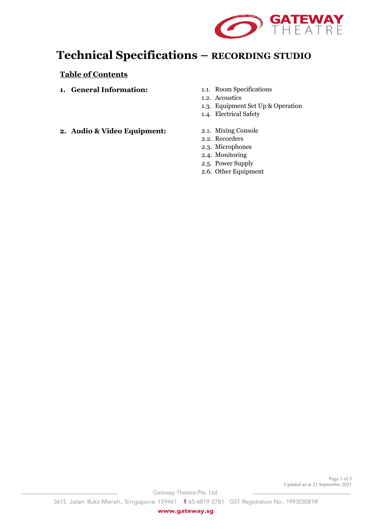

# **Technical Specifications – RECORDING STUDIO**

## **Table of Contents**

- **1. General Information:**
- 1.1. Room Specifications
- 1.2. Acoustics
- 1.3. Equipment Set Up & Operation
- 1.4. Electrical Safety
- **2. Audio & Video Equipment:**
- 2.1. Mixing Console
- 2.2. Recorders
- 2.3. Microphones
- 2.4. Monitoring
- 2.5. Power Supply
- 2.6. Other Equipment

Page 1 of 3 Updated as at 21 September 2021

Gateway Theatre Pte. Ltd.

3615 Jalan Bukit Merah, Singapore 159461 **T** 65-6819 0781 GST Registration No.: 199303081R

www.gateway.sg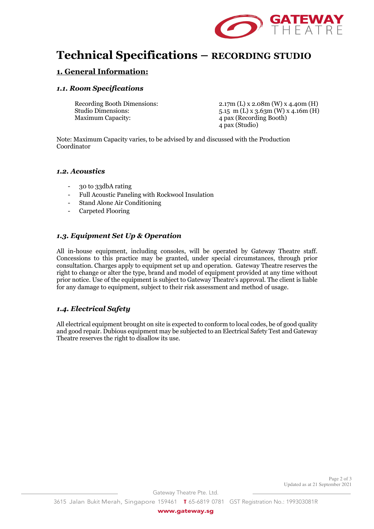

# **Technical Specifications – RECORDING STUDIO**

## **1. General Information:**

#### *1.1. Room Specifications*

Maximum Capacity: 4 pax (Recording Booth)

Recording Booth Dimensions: 2.17m (L) x 2.08m (W) x 4.40m (H) Studio Dimensions: 5.15 m (L) x 3.63m (W) x 4.16m (H) 4 pax (Studio)

Note: Maximum Capacity varies, to be advised by and discussed with the Production Coordinator

#### *1.2. Acoustics*

- 30 to 33dbA rating
- Full Acoustic Paneling with Rockwool Insulation
- Stand Alone Air Conditioning
- Carpeted Flooring

### *1.3. Equipment Set Up & Operation*

All in-house equipment, including consoles, will be operated by Gateway Theatre staff. Concessions to this practice may be granted, under special circumstances, through prior consultation. Charges apply to equipment set up and operation. Gateway Theatre reserves the right to change or alter the type, brand and model of equipment provided at any time without prior notice. Use of the equipment is subject to Gateway Theatre's approval. The client is liable for any damage to equipment, subject to their risk assessment and method of usage.

#### *1.4. Electrical Safety*

All electrical equipment brought on site is expected to conform to local codes, be of good quality and good repair. Dubious equipment may be subjected to an Electrical Safety Test and Gateway Theatre reserves the right to disallow its use.

Gateway Theatre Pte. Ltd.

www.gateway.sg